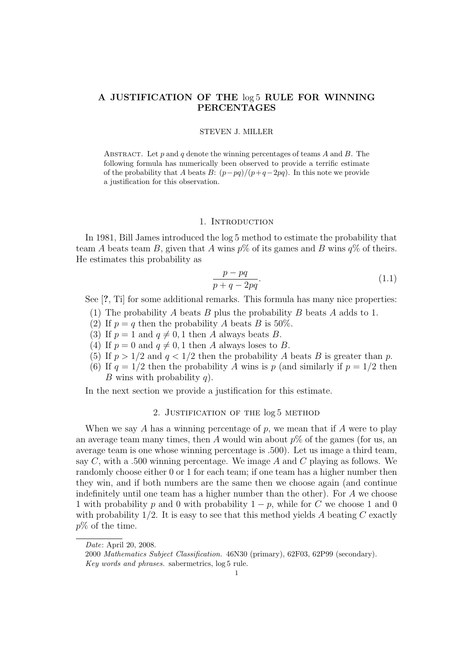# A JUSTIFICATION OF THE  $log 5$  RULE FOR WINNING PERCENTAGES

## STEVEN J. MILLER

ABSTRACT. Let p and q denote the winning percentages of teams A and B. The following formula has numerically been observed to provide a terrific estimate of the probability that A beats B:  $(p-pq)/(p+q-2pq)$ . In this note we provide a justification for this observation.

### 1. INTRODUCTION

In 1981, Bill James introduced the log 5 method to estimate the probability that team A beats team B, given that A wins  $p\%$  of its games and B wins  $q\%$  of theirs. He estimates this probability as

$$
\frac{p - pq}{p + q - 2pq}.\tag{1.1}
$$

See [?, Ti] for some additional remarks. This formula has many nice properties:

- (1) The probability A beats B plus the probability B beats A adds to 1.
- (2) If  $p = q$  then the probability A beats B is 50%.
- (3) If  $p = 1$  and  $q \neq 0, 1$  then A always beats B.
- (4) If  $p = 0$  and  $q \neq 0, 1$  then A always loses to B.
- (5) If  $p > 1/2$  and  $q < 1/2$  then the probability A beats B is greater than p.
- (6) If  $q = 1/2$  then the probability A wins is p (and similarly if  $p = 1/2$  then B wins with probability  $q$ ).

In the next section we provide a justification for this estimate.

# 2. Justification of the log 5 method

When we say A has a winning percentage of p, we mean that if A were to play an average team many times, then A would win about  $p\%$  of the games (for us, an average team is one whose winning percentage is .500). Let us image a third team, say C, with a .500 winning percentage. We image A and C playing as follows. We randomly choose either 0 or 1 for each team; if one team has a higher number then they win, and if both numbers are the same then we choose again (and continue indefinitely until one team has a higher number than the other). For A we choose 1 with probability p and 0 with probability  $1 - p$ , while for C we choose 1 and 0 with probability  $1/2$ . It is easy to see that this method yields A beating C exactly  $p\%$  of the time.

Date: April 20, 2008.

<sup>2000</sup> Mathematics Subject Classification. 46N30 (primary), 62F03, 62P99 (secondary). Key words and phrases. sabermetrics, log 5 rule.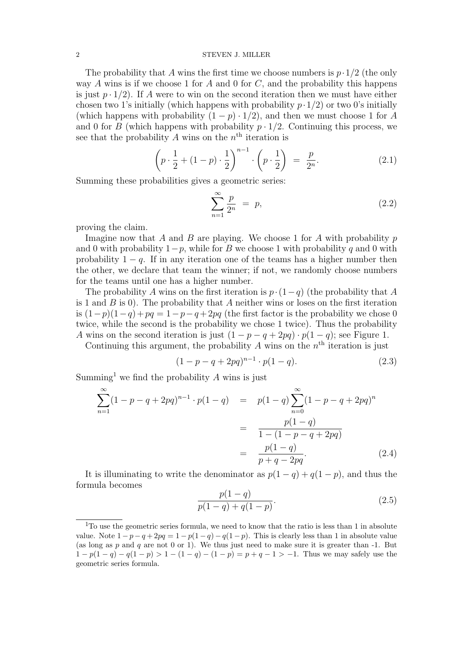### 2 STEVEN J. MILLER

The probability that A wins the first time we choose numbers is  $p \cdot 1/2$  (the only way A wins is if we choose 1 for A and 0 for C, and the probability this happens is just  $p \cdot 1/2$ . If A were to win on the second iteration then we must have either chosen two 1's initially (which happens with probability  $p \cdot 1/2$ ) or two 0's initially (which happens with probability  $(1 - p) \cdot 1/2$ ), and then we must choose 1 for A and 0 for B (which happens with probability  $p \cdot 1/2$ . Continuing this process, we see that the probability A wins on the  $n<sup>th</sup>$  iteration is

$$
\left(p \cdot \frac{1}{2} + (1-p) \cdot \frac{1}{2}\right)^{n-1} \cdot \left(p \cdot \frac{1}{2}\right) = \frac{p}{2^n}.
$$
\n(2.1)

Summing these probabilities gives a geometric series:

$$
\sum_{n=1}^{\infty} \frac{p}{2^n} = p,\tag{2.2}
$$

proving the claim.

Imagine now that A and B are playing. We choose 1 for A with probability  $p$ and 0 with probability  $1-p$ , while for B we choose 1 with probability q and 0 with probability  $1 - q$ . If in any iteration one of the teams has a higher number then the other, we declare that team the winner; if not, we randomly choose numbers for the teams until one has a higher number.

The probability A wins on the first iteration is  $p \cdot (1-q)$  (the probability that A is 1 and  $\hat{B}$  is 0). The probability that  $\hat{A}$  neither wins or loses on the first iteration is  $(1-p)(1-q) + pq = 1-p-q+2pq$  (the first factor is the probability we chose 0 twice, while the second is the probability we chose 1 twice). Thus the probability A wins on the second iteration is just  $(1 - p - q + 2pq) \cdot p(1 - q)$ ; see Figure 1.

Continuing this argument, the probability  $A$  wins on the  $n<sup>th</sup>$  iteration is just

$$
(1 - p - q + 2pq)^{n-1} \cdot p(1 - q). \tag{2.3}
$$

Summing<sup>1</sup> we find the probability  $A$  wins is just

$$
\sum_{n=1}^{\infty} (1 - p - q + 2pq)^{n-1} \cdot p(1 - q) = p(1 - q) \sum_{n=0}^{\infty} (1 - p - q + 2pq)^n
$$

$$
= \frac{p(1 - q)}{1 - (1 - p - q + 2pq)}
$$

$$
= \frac{p(1 - q)}{p + q - 2pq}.
$$
(2.4)

It is illuminating to write the denominator as  $p(1-q) + q(1-p)$ , and thus the formula becomes

$$
\frac{p(1-q)}{p(1-q) + q(1-p)}.\t(2.5)
$$

 $1$ To use the geometric series formula, we need to know that the ratio is less than 1 in absolute value. Note  $1 - p - q + 2pq = 1 - p(1 - q) - q(1 - p)$ . This is clearly less than 1 in absolute value (as long as  $p$  and  $q$  are not 0 or 1). We thus just need to make sure it is greater than  $-1$ . But  $1 - p(1 - q) - q(1 - p) > 1 - (1 - q) - (1 - p) = p + q - 1 > -1$ . Thus we may safely use the geometric series formula.